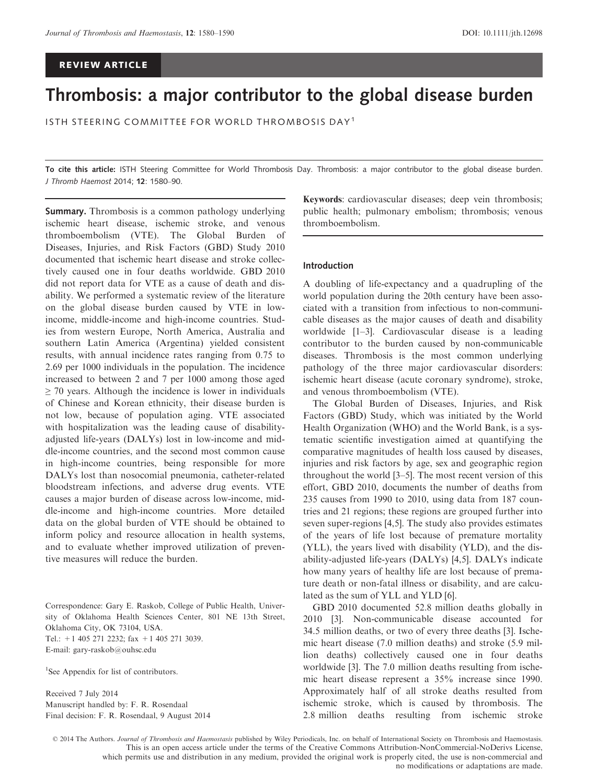## REVIEW ARTICLE

# Thrombosis: a major contributor to the global disease burden

ISTH STEERING COMMITTEE FOR WORLD THROMBOSIS DAY<sup>1</sup>

To cite this article: ISTH Steering Committee for World Thrombosis Day. Thrombosis: a major contributor to the global disease burden. J Thromb Haemost 2014; 12: 1580–90.

**Summary.** Thrombosis is a common pathology underlying ischemic heart disease, ischemic stroke, and venous thromboembolism (VTE). The Global Burden of Diseases, Injuries, and Risk Factors (GBD) Study 2010 documented that ischemic heart disease and stroke collectively caused one in four deaths worldwide. GBD 2010 did not report data for VTE as a cause of death and disability. We performed a systematic review of the literature on the global disease burden caused by VTE in lowincome, middle-income and high-income countries. Studies from western Europe, North America, Australia and southern Latin America (Argentina) yielded consistent results, with annual incidence rates ranging from 0.75 to 2.69 per 1000 individuals in the population. The incidence increased to between 2 and 7 per 1000 among those aged  $\geq$  70 years. Although the incidence is lower in individuals of Chinese and Korean ethnicity, their disease burden is not low, because of population aging. VTE associated with hospitalization was the leading cause of disabilityadjusted life-years (DALYs) lost in low-income and middle-income countries, and the second most common cause in high-income countries, being responsible for more DALYs lost than nosocomial pneumonia, catheter-related bloodstream infections, and adverse drug events. VTE causes a major burden of disease across low-income, middle-income and high-income countries. More detailed data on the global burden of VTE should be obtained to inform policy and resource allocation in health systems, and to evaluate whether improved utilization of preventive measures will reduce the burden.

Correspondence: Gary E. Raskob, College of Public Health, University of Oklahoma Health Sciences Center, 801 NE 13th Street, Oklahoma City, OK 73104, USA. Tel.: +1 405 271 2232; fax +1 405 271 3039. E-mail: gary-raskob@ouhsc.edu

<sup>1</sup>See Appendix for list of contributors.

Received 7 July 2014 Manuscript handled by: F. R. Rosendaal Final decision: F. R. Rosendaal, 9 August 2014 Keywords: cardiovascular diseases; deep vein thrombosis; public health; pulmonary embolism; thrombosis; venous thromboembolism.

#### Introduction

A doubling of life-expectancy and a quadrupling of the world population during the 20th century have been associated with a transition from infectious to non-communicable diseases as the major causes of death and disability worldwide [1–3]. Cardiovascular disease is a leading contributor to the burden caused by non-communicable diseases. Thrombosis is the most common underlying pathology of the three major cardiovascular disorders: ischemic heart disease (acute coronary syndrome), stroke, and venous thromboembolism (VTE).

The Global Burden of Diseases, Injuries, and Risk Factors (GBD) Study, which was initiated by the World Health Organization (WHO) and the World Bank, is a systematic scientific investigation aimed at quantifying the comparative magnitudes of health loss caused by diseases, injuries and risk factors by age, sex and geographic region throughout the world [3–5]. The most recent version of this effort, GBD 2010, documents the number of deaths from 235 causes from 1990 to 2010, using data from 187 countries and 21 regions; these regions are grouped further into seven super-regions [4,5]. The study also provides estimates of the years of life lost because of premature mortality (YLL), the years lived with disability (YLD), and the disability-adjusted life-years (DALYs) [4,5]. DALYs indicate how many years of healthy life are lost because of premature death or non-fatal illness or disability, and are calculated as the sum of YLL and YLD [6].

GBD 2010 documented 52.8 million deaths globally in 2010 [3]. Non-communicable disease accounted for 34.5 million deaths, or two of every three deaths [3]. Ischemic heart disease (7.0 million deaths) and stroke (5.9 million deaths) collectively caused one in four deaths worldwide [3]. The 7.0 million deaths resulting from ischemic heart disease represent a 35% increase since 1990. Approximately half of all stroke deaths resulted from ischemic stroke, which is caused by thrombosis. The 2.8 million deaths resulting from ischemic stroke

© 2014 The Authors. Journal of Thrombosis and Haemostasis published by Wiley Periodicals, Inc. on behalf of International Society on Thrombosis and Haemostasis. This is an open access article under the terms of the Creative Commons Attribution-NonCommercial-NoDerivs License, which permits use and distribution in any medium, provided the original work is properly cited, the use is non-commercial and no modifications or adaptations are made.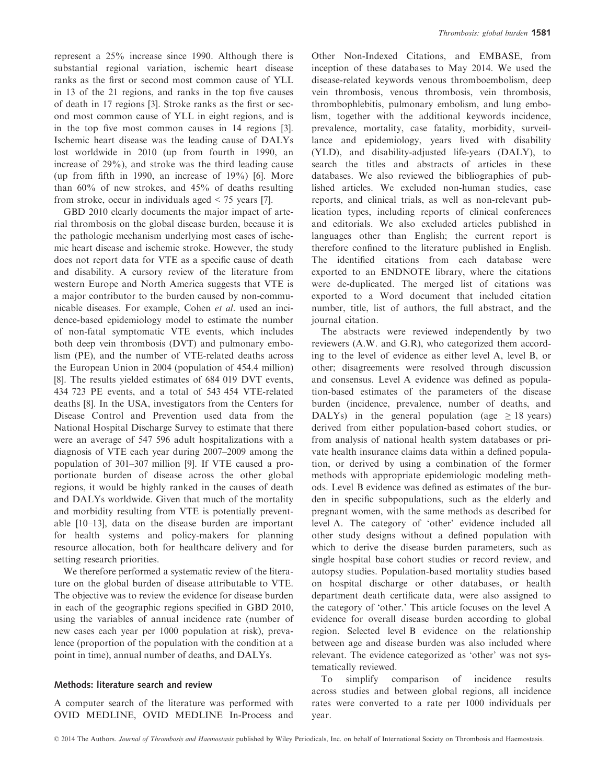represent a 25% increase since 1990. Although there is substantial regional variation, ischemic heart disease ranks as the first or second most common cause of YLL in 13 of the 21 regions, and ranks in the top five causes of death in 17 regions [3]. Stroke ranks as the first or second most common cause of YLL in eight regions, and is in the top five most common causes in 14 regions [3]. Ischemic heart disease was the leading cause of DALYs lost worldwide in 2010 (up from fourth in 1990, an increase of 29%), and stroke was the third leading cause (up from fifth in 1990, an increase of 19%) [6]. More than 60% of new strokes, and 45% of deaths resulting from stroke, occur in individuals aged < 75 years [7].

GBD 2010 clearly documents the major impact of arterial thrombosis on the global disease burden, because it is the pathologic mechanism underlying most cases of ischemic heart disease and ischemic stroke. However, the study does not report data for VTE as a specific cause of death and disability. A cursory review of the literature from western Europe and North America suggests that VTE is a major contributor to the burden caused by non-communicable diseases. For example, Cohen et al. used an incidence-based epidemiology model to estimate the number of non-fatal symptomatic VTE events, which includes both deep vein thrombosis (DVT) and pulmonary embolism (PE), and the number of VTE-related deaths across the European Union in 2004 (population of 454.4 million) [8]. The results yielded estimates of 684 019 DVT events, 434 723 PE events, and a total of 543 454 VTE-related deaths [8]. In the USA, investigators from the Centers for Disease Control and Prevention used data from the National Hospital Discharge Survey to estimate that there were an average of 547 596 adult hospitalizations with a diagnosis of VTE each year during 2007–2009 among the population of 301–307 million [9]. If VTE caused a proportionate burden of disease across the other global regions, it would be highly ranked in the causes of death and DALYs worldwide. Given that much of the mortality and morbidity resulting from VTE is potentially preventable [10–13], data on the disease burden are important for health systems and policy-makers for planning resource allocation, both for healthcare delivery and for setting research priorities.

We therefore performed a systematic review of the literature on the global burden of disease attributable to VTE. The objective was to review the evidence for disease burden in each of the geographic regions specified in GBD 2010, using the variables of annual incidence rate (number of new cases each year per 1000 population at risk), prevalence (proportion of the population with the condition at a point in time), annual number of deaths, and DALYs.

### Methods: literature search and review

A computer search of the literature was performed with OVID MEDLINE, OVID MEDLINE In-Process and

Other Non-Indexed Citations, and EMBASE, from inception of these databases to May 2014. We used the disease-related keywords venous thromboembolism, deep vein thrombosis, venous thrombosis, vein thrombosis, thrombophlebitis, pulmonary embolism, and lung embolism, together with the additional keywords incidence, prevalence, mortality, case fatality, morbidity, surveillance and epidemiology, years lived with disability (YLD), and disability-adjusted life-years (DALY), to search the titles and abstracts of articles in these databases. We also reviewed the bibliographies of published articles. We excluded non-human studies, case reports, and clinical trials, as well as non-relevant publication types, including reports of clinical conferences and editorials. We also excluded articles published in languages other than English; the current report is therefore confined to the literature published in English. The identified citations from each database were exported to an ENDNOTE library, where the citations were de-duplicated. The merged list of citations was exported to a Word document that included citation number, title, list of authors, the full abstract, and the journal citation.

The abstracts were reviewed independently by two reviewers (A.W. and G.R), who categorized them according to the level of evidence as either level A, level B, or other; disagreements were resolved through discussion and consensus. Level A evidence was defined as population-based estimates of the parameters of the disease burden (incidence, prevalence, number of deaths, and DALYs) in the general population (age  $\geq$  18 years) derived from either population-based cohort studies, or from analysis of national health system databases or private health insurance claims data within a defined population, or derived by using a combination of the former methods with appropriate epidemiologic modeling methods. Level B evidence was defined as estimates of the burden in specific subpopulations, such as the elderly and pregnant women, with the same methods as described for level A. The category of 'other' evidence included all other study designs without a defined population with which to derive the disease burden parameters, such as single hospital base cohort studies or record review, and autopsy studies. Population-based mortality studies based on hospital discharge or other databases, or health department death certificate data, were also assigned to the category of 'other.' This article focuses on the level A evidence for overall disease burden according to global region. Selected level B evidence on the relationship between age and disease burden was also included where relevant. The evidence categorized as 'other' was not systematically reviewed.

To simplify comparison of incidence results across studies and between global regions, all incidence rates were converted to a rate per 1000 individuals per year.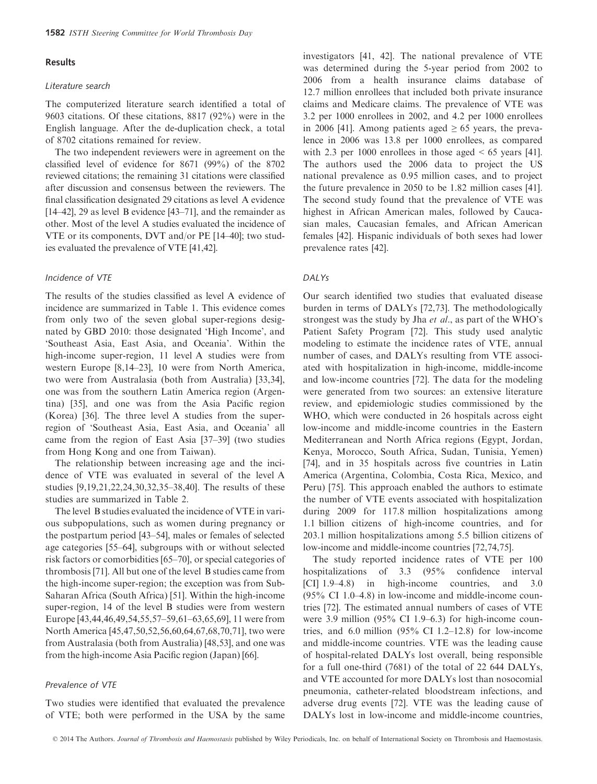#### Results

#### Literature search

The computerized literature search identified a total of 9603 citations. Of these citations, 8817 (92%) were in the English language. After the de-duplication check, a total of 8702 citations remained for review.

The two independent reviewers were in agreement on the classified level of evidence for 8671 (99%) of the 8702 reviewed citations; the remaining 31 citations were classified after discussion and consensus between the reviewers. The final classification designated 29 citations as level A evidence [14–42], 29 as level B evidence [43–71], and the remainder as other. Most of the level A studies evaluated the incidence of VTE or its components, DVT and/or PE [14–40]; two studies evaluated the prevalence of VTE [41,42].

#### Incidence of VTE

The results of the studies classified as level A evidence of incidence are summarized in Table 1. This evidence comes from only two of the seven global super-regions designated by GBD 2010: those designated 'High Income', and 'Southeast Asia, East Asia, and Oceania'. Within the high-income super-region, 11 level A studies were from western Europe [8,14–23], 10 were from North America, two were from Australasia (both from Australia) [33,34], one was from the southern Latin America region (Argentina) [35], and one was from the Asia Pacific region (Korea) [36]. The three level A studies from the superregion of 'Southeast Asia, East Asia, and Oceania' all came from the region of East Asia [37–39] (two studies from Hong Kong and one from Taiwan).

The relationship between increasing age and the incidence of VTE was evaluated in several of the level A studies [9,19,21,22,24,30,32,35–38,40]. The results of these studies are summarized in Table 2.

The level B studies evaluated the incidence of VTE in various subpopulations, such as women during pregnancy or the postpartum period [43–54], males or females of selected age categories [55–64], subgroups with or without selected risk factors or comorbidities [65–70], or special categories of thrombosis [71]. All but one of the level B studies came from the high-income super-region; the exception was from Sub-Saharan Africa (South Africa) [51]. Within the high-income super-region, 14 of the level B studies were from western Europe [43,44,46,49,54,55,57–59,61–63,65,69], 11 were from North America [45,47,50,52,56,60,64,67,68,70,71], two were from Australasia (both from Australia) [48,53], and one was from the high-income Asia Pacific region (Japan) [66].

#### Prevalence of VTE

Two studies were identified that evaluated the prevalence of VTE; both were performed in the USA by the same investigators [41, 42]. The national prevalence of VTE was determined during the 5-year period from 2002 to 2006 from a health insurance claims database of 12.7 million enrollees that included both private insurance claims and Medicare claims. The prevalence of VTE was 3.2 per 1000 enrollees in 2002, and 4.2 per 1000 enrollees in 2006 [41]. Among patients aged  $\geq$  65 years, the prevalence in 2006 was 13.8 per 1000 enrollees, as compared with 2.3 per 1000 enrollees in those aged  $\leq 65$  years [41]. The authors used the 2006 data to project the US national prevalence as 0.95 million cases, and to project the future prevalence in 2050 to be 1.82 million cases [41]. The second study found that the prevalence of VTE was highest in African American males, followed by Caucasian males, Caucasian females, and African American females [42]. Hispanic individuals of both sexes had lower prevalence rates [42].

#### DALYs

Our search identified two studies that evaluated disease burden in terms of DALYs [72,73]. The methodologically strongest was the study by Jha et al., as part of the WHO's Patient Safety Program [72]. This study used analytic modeling to estimate the incidence rates of VTE, annual number of cases, and DALYs resulting from VTE associated with hospitalization in high-income, middle-income and low-income countries [72]. The data for the modeling were generated from two sources: an extensive literature review, and epidemiologic studies commissioned by the WHO, which were conducted in 26 hospitals across eight low-income and middle-income countries in the Eastern Mediterranean and North Africa regions (Egypt, Jordan, Kenya, Morocco, South Africa, Sudan, Tunisia, Yemen) [74], and in 35 hospitals across five countries in Latin America (Argentina, Colombia, Costa Rica, Mexico, and Peru) [75]. This approach enabled the authors to estimate the number of VTE events associated with hospitalization during 2009 for 117.8 million hospitalizations among 1.1 billion citizens of high-income countries, and for 203.1 million hospitalizations among 5.5 billion citizens of low-income and middle-income countries [72,74,75].

The study reported incidence rates of VTE per 100 hospitalizations of 3.3 (95% confidence interval [CI] 1.9–4.8) in high-income countries, and 3.0 (95% CI 1.0–4.8) in low-income and middle-income countries [72]. The estimated annual numbers of cases of VTE were 3.9 million (95% CI 1.9–6.3) for high-income countries, and  $6.0$  million  $(95\% \text{ CI } 1.2-12.8)$  for low-income and middle-income countries. VTE was the leading cause of hospital-related DALYs lost overall, being responsible for a full one-third (7681) of the total of 22 644 DALYs, and VTE accounted for more DALYs lost than nosocomial pneumonia, catheter-related bloodstream infections, and adverse drug events [72]. VTE was the leading cause of DALYs lost in low-income and middle-income countries,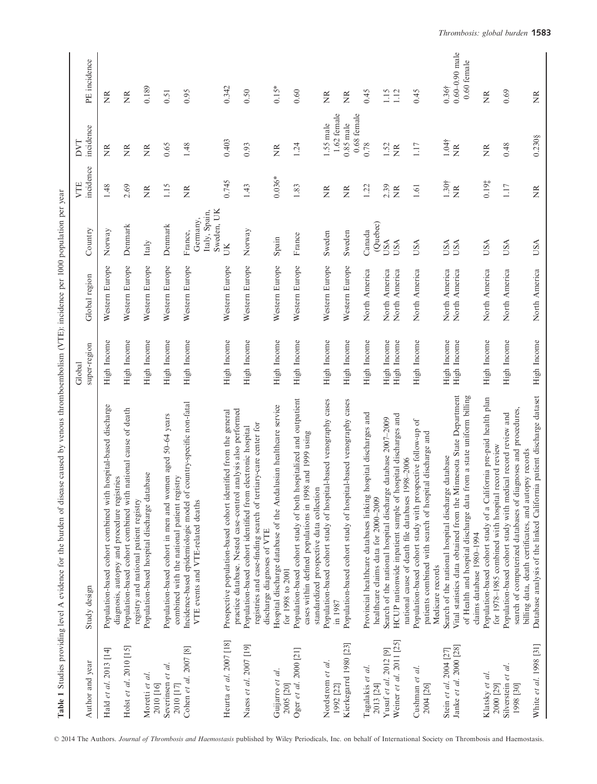|                                                  | Table 1 Studies providing level A evidence for the burden of disease caused by venous thromboembolism (VTE): incidence per 1000 population per year                                                                         |                            |                                |                                                    |                                      |                                        |                                                      |
|--------------------------------------------------|-----------------------------------------------------------------------------------------------------------------------------------------------------------------------------------------------------------------------------|----------------------------|--------------------------------|----------------------------------------------------|--------------------------------------|----------------------------------------|------------------------------------------------------|
| Author and year                                  | Study design                                                                                                                                                                                                                | super-region<br>Global     | Global region                  | Country                                            | incidence<br>VTE                     | incidence<br>LN                        | PE incidence                                         |
| Hald et al. 2013 [14]                            | Population-based cohort combined with hospital-based discharge<br>diagnosis, autopsy and procedure registries                                                                                                               | High Income                | Western Europe                 | Norway                                             | 1.48                                 | $\widetilde{\Xi}$                      | $\widetilde{\Xi}$                                    |
| Holst et al. 2010 [15]                           | Population-based cohort combined with national cause of death                                                                                                                                                               | High Income                | Western Europe                 | Denmark                                            | 2.69                                 | $\frac{\alpha}{\beta}$                 | $\widetilde{\Xi}$                                    |
| Moretti et al.<br>2010 [16]                      | latabase<br>registry and national patient registry<br>Population-based hospital discharge d                                                                                                                                 | High Income                | Western Europe                 | Italy                                              | $\widetilde{\Xi}$                    | $\widetilde{\Xi}$                      | 0.189                                                |
| Severinsen et al.<br>2010 [17]                   | women aged 50-64 years<br>combined with the national patient registry<br>Population-based cohort in men and                                                                                                                 | High Income                | Western Europe                 | Denmark                                            | 1.15                                 | 0.65                                   | 0.51                                                 |
| Cohen et al. 2007 [8]                            | of country-specific non-fatal<br>VTE events and VTE-related deaths<br>Incidence-based epidemiologic model                                                                                                                   | High Income                | Western Europe                 | Sweden, UK<br>Italy, Spain,<br>Germany,<br>France, | $\widetilde{Z}$                      | 1.48                                   | 0.95                                                 |
| Heurta et al. 2007 [18]                          | practice database. Nested case-control analysis also performed<br>identified from the general<br>Prospective population-based cohort                                                                                        | High Income                | Western Europe                 | UK                                                 | 0.745                                | 0.403                                  | 0.342                                                |
| Naess et al. 2007 [19]                           | tertiary-care center for<br>Population-based cohort identified from electronic hospital<br>registries and case-finding search of<br>discharge diagnoses of VTE                                                              | High Income                | Western Europe                 | Norway                                             | 1.43                                 | 0.93                                   | 0.50                                                 |
| Guijarro et al.<br>2005 <sub>[20]</sub>          | Hospital discharge database of the Andalusian healthcare service<br>for 1998 to 2001                                                                                                                                        | High Income                | Western Europe                 | Spain                                              | $0.036*$                             | $\frac{\alpha}{\beta}$                 | $0.15*$                                              |
| Oger et al. 2000 [21]                            | Population-based cohort study of both hospitalized and outpatient<br>cases within defined populations in 1998 and 1999 using<br>standardized prospective data collection                                                    | High Income                | Western Europe                 | $\ensuremath{\mathsf{France}}$                     | 1.83                                 | 1.24                                   | 0.60                                                 |
| Nordstrom et al.<br>1992 [22]                    | Population-based cohort study of hospital-based venography cases<br>in 1987                                                                                                                                                 | High Income                | Western Europe                 | Sweden                                             | $\frac{\alpha}{\beta}$               | $1.62$ female<br>1.55 male             | $\widetilde{\Xi}$                                    |
| Kierkegarrd 1980 [23]                            | Population-based cohort study of hospital-based venography cases                                                                                                                                                            | High Income                | Western Europe                 | Sweden                                             | $\widetilde{\Xi}$                    | 0.68 female<br>$0.85$ male             | $\widetilde{\Xi}$                                    |
| Tagalakis et al.<br>2013 [24]                    | Provincial healthcare databases linking hospital discharges and<br>healthcare claims data for 2000-2009                                                                                                                     | High Income                | North America                  | (Quebec)<br>Canada                                 | 1.22                                 | 0.78                                   | 0.45                                                 |
| Yusuf et al. 2012 [9]                            | Search of the national hospital discharge database 2007-2009                                                                                                                                                                | High Income                | North America                  | <b>USA</b>                                         | 2.39                                 | 1.52                                   | 1.15                                                 |
| Weiner et al. 2011 [25]                          | HCUP nationwide inpatient sample of hospital discharges and<br>national cause of death file databases 1998-2006                                                                                                             | High Income                | North America                  | USA                                                | $\frac{\alpha}{\alpha}$              | $\frac{\alpha}{\alpha}$                | 1.12                                                 |
| Cushman et al.<br>2004 [26]                      | Population-based cohort study with prospective follow-up of<br>patients combined with search of hospital discharge and<br>Medicare records                                                                                  | High Income                | North America                  | USA                                                | 1.61                                 | 1.17                                   | 0.45                                                 |
| Janke et al. 2000 [28]<br>Stein et al. 2004 [27] | Vital statistics data obtained from the Minnesota State Department<br>of Health and hospital discharge data from a state uniform billing<br>Search of the national hospital discharge database<br>claims database 1980-1994 | High Income<br>High Income | North America<br>North America | USA<br>USA                                         | 1.30 <sup>†</sup><br>$\widetilde{Z}$ | 1.04 <sup>†</sup><br>$\widetilde{\Xi}$ | $0.60 - 0.90$ male<br>$0.60$ female<br>$0.36\dagger$ |
| Klatsky et al.<br>2000 [29]                      | Population-based cohort study of a California pre-paid health plan<br>for 1978-1985 combined with hospital record review                                                                                                    | High Income                | North America                  | USA                                                | $0.19_1$                             | $\frac{\alpha}{\beta}$                 | $\widetilde{\Xi}$                                    |
| Silverstein et al.<br>1998 [30]                  | diagnoses and procedures,<br>Population-based cohort study with medical record review and<br>billing data, death certificates, and autopsy records<br>search of computerized databases of                                   | High Income                | North America                  | USA                                                | 1.17                                 | 0.48                                   | 0.69                                                 |
| White et al. 1998 [31]                           | Database analysis of the linked California patient discharge dataset                                                                                                                                                        | High Income                | North America                  | <b>USA</b>                                         | $\widetilde{\mathbf{z}}$             | $0.230$ §                              | $\widetilde{\Xi}$                                    |

Thrombosis: global burden 1583

© 2014 The Authors. Journal of Thrombosis and Haemostasis published by Wiley Periodicals, Inc. on behalf of International Society on Thrombosis and Haemostasis.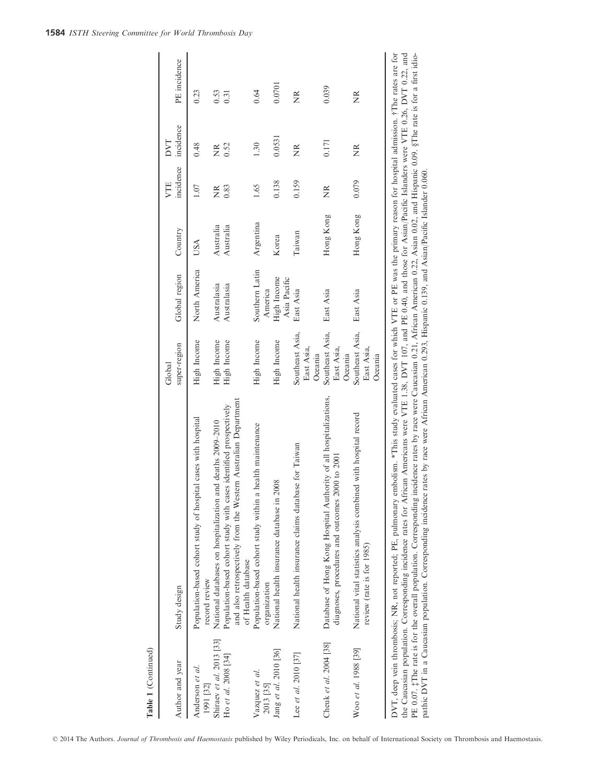| Table 1 (Continued)          |                                                                                                                                                                                                                                                                                                                                                                                                                                                                                                                                                                                                                                                                                                                                                       |                                          |                             |            |                        |                         |                   |
|------------------------------|-------------------------------------------------------------------------------------------------------------------------------------------------------------------------------------------------------------------------------------------------------------------------------------------------------------------------------------------------------------------------------------------------------------------------------------------------------------------------------------------------------------------------------------------------------------------------------------------------------------------------------------------------------------------------------------------------------------------------------------------------------|------------------------------------------|-----------------------------|------------|------------------------|-------------------------|-------------------|
| Author and year              | Study design                                                                                                                                                                                                                                                                                                                                                                                                                                                                                                                                                                                                                                                                                                                                          | super-region<br>Global                   | Global region               | Country    | incidence<br>VTE       | incidence<br>DVT        | PE incidence      |
| Anderson et al.<br>1991 [32] | Population-based cohort study of hospital cases with hospital<br>record review                                                                                                                                                                                                                                                                                                                                                                                                                                                                                                                                                                                                                                                                        | High Income                              | North America               | <b>USA</b> | 1.07                   | 0.48                    | 0.23              |
| Shiraev et al. 2013 [33]     | and deaths 2009-2010<br>National databases on hospitalization                                                                                                                                                                                                                                                                                                                                                                                                                                                                                                                                                                                                                                                                                         | High Income                              | Australasia                 | Australia  | $\frac{\alpha}{\beta}$ | $\widetilde{R}$         | 0.53              |
| Ho et al. 2008 [34]          | and also retrospectively from the Western Australian Department<br>Population-based cohort study with cases identified prospectively<br>of Health database                                                                                                                                                                                                                                                                                                                                                                                                                                                                                                                                                                                            | High Income                              | Australasia                 | Australia  | 0.83                   | 0.52                    | 0.31              |
| Vazquez et al.<br>2013 [35]  | a health maintenance<br>Population-based cohort study within<br>organization                                                                                                                                                                                                                                                                                                                                                                                                                                                                                                                                                                                                                                                                          | High Income                              | Southern Latin<br>America   | Argentina  | 1.65                   | 1.30                    | 0.64              |
| Jang et al. 2010 [36]        | 2008<br>National health insurance database in                                                                                                                                                                                                                                                                                                                                                                                                                                                                                                                                                                                                                                                                                                         | High Income                              | High Income<br>Asia Pacific | Korea      | 0.138                  | 0.0531                  | 0.0701            |
| Lee et al. 2010 [37]         | National health insurance claims database for Taiwan                                                                                                                                                                                                                                                                                                                                                                                                                                                                                                                                                                                                                                                                                                  | Southeast Asia,<br>East Asia,<br>Oceania | East Asia                   | Taiwan     | 0.159                  | $\frac{\alpha}{\alpha}$ | $\widetilde{\Xi}$ |
| Cheuk et al. 2004 [38]       | Database of Hong Kong Hospital Authority of all hospitalizations,<br>2000 to 2001<br>diagnoses, procedures and outcomes                                                                                                                                                                                                                                                                                                                                                                                                                                                                                                                                                                                                                               | Southeast Asia,<br>East Asia,<br>Oceania | East Asia                   | Hong Kong  | $\frac{\alpha}{\beta}$ | 0.171                   | 0.039             |
| Woo et al. 1988 [39]         | National vital statistics analysis combined with hospital record<br>review (rate is for 1985)                                                                                                                                                                                                                                                                                                                                                                                                                                                                                                                                                                                                                                                         | Southeast Asia,<br>East Asia,<br>Oceania | East Asia                   | Hong Kong  | 0.079                  | $\widetilde{\Xi}$       | $\widetilde{\Xi}$ |
|                              | DVT, deep vein thrombosis; NR, not reported; PE, pulmonary embolism. *This study evaluated cases for which VTE or PE was the primary reason for hospital admission. †The rates are for<br>the Caucasian population. Corresponding incidence rates for African Americans were VTE 1.38, DVT 107, and PE 0.40, and those for Asian/Pacific Islanders were VTE 0.26, DVT 0.22, and<br>incidence rates by race were Caucasian 0.21, African American 0.22, Asian 0.02, and Hispanic 0.09. §The rate is for a first idio-<br>pathic DVT in a Caucasian population. Corresponding incidence rates by race were African American 0.293, Hispanic 0.139, and Asian/Pacific Islander 0.060.<br>PE 0.07. ‡The rate is for the overall population. Corresponding |                                          |                             |            |                        |                         |                   |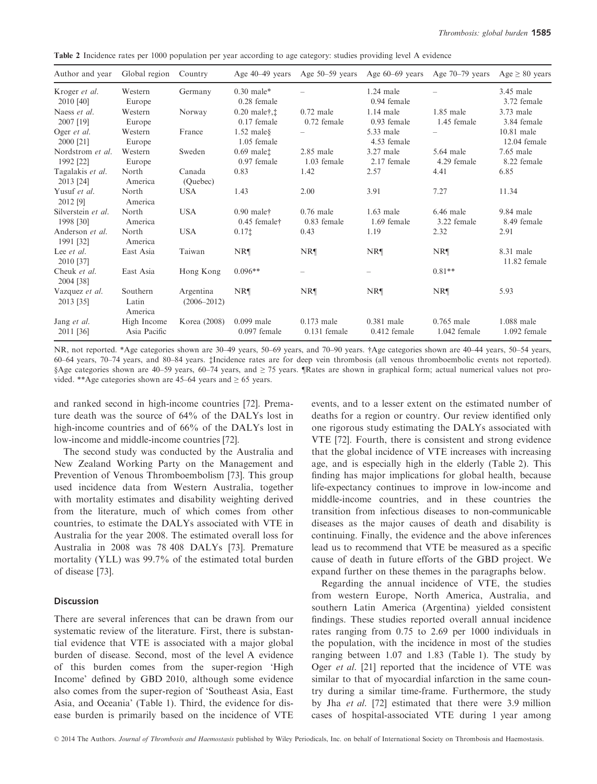Table 2 Incidence rates per 1000 population per year according to age category: studies providing level A evidence

| Author and year                 | Global region                | Country                      | Age $40-49$ years                                                         |                                | Age $50-59$ years Age $60-69$ years Age $70-79$ years |                                | Age $\geq 80$ years          |
|---------------------------------|------------------------------|------------------------------|---------------------------------------------------------------------------|--------------------------------|-------------------------------------------------------|--------------------------------|------------------------------|
| Kroger et al.<br>2010 [40]      | Western<br>Europe            | Germany                      | $0.30$ male*<br>0.28 female                                               |                                | $1.24$ male<br>$0.94$ female                          |                                | 3.45 male<br>3.72 female     |
| Naess et al.<br>2007 [19]       | Western<br>Europe            | Norway                       | $0.20$ malert.<br>$0.17$ female                                           | $0.72$ male<br>$0.72$ female   | $1.14$ male<br>0.93 female                            | 1.85 male<br>1.45 female       | 3.73 male<br>3.84 female     |
| Oger et al.<br>2000 [21]        | Western<br>Europe            | France                       | $1.52$ male $\$<br>1.05 female                                            |                                | 5.33 male<br>4.53 female                              |                                | 10.81 male<br>$12.04$ female |
| Nordstrom et al.<br>1992 [22]   | Western<br>Europe            | Sweden                       | $0.69$ male $\ddagger$<br>$0.97$ female                                   | $2.85$ male<br>1.03 female     | 3.27 male<br>2.17 female                              | 5.64 male<br>4.29 female       | 7.65 male<br>8.22 female     |
| Tagalakis et al.<br>2013 [24]   | North<br>America             | Canada<br>(Quebec)           | 0.83                                                                      | 1.42                           | 2.57                                                  | 4.41                           | 6.85                         |
| Yusuf et al.<br>2012 [9]        | North<br>America             | <b>USA</b>                   | 1.43                                                                      | 2.00                           | 3.91                                                  | 7.27                           | 11.34                        |
| Silverstein et al.<br>1998 [30] | North<br>America             | <b>USA</b>                   | $0.90$ male <sup><math>\dagger</math></sup><br>$0.45$ female <sub>†</sub> | $0.76$ male<br>$0.83$ female   | $1.63$ male<br>1.69 female                            | $6.46$ male<br>3.22 female     | 9.84 male<br>8.49 female     |
| Anderson et al.<br>1991 [32]    | North<br>America             | <b>USA</b>                   | 0.171                                                                     | 0.43                           | 1.19                                                  | 2.32                           | 2.91                         |
| Lee et al.<br>2010 [37]         | East Asia                    | Taiwan                       | <b>NR</b>                                                                 | NR <sub>1</sub>                | <b>NR</b>                                             | <b>NR</b>                      | 8.31 male<br>11.82 female    |
| Cheuk et al.<br>2004 [38]       | East Asia                    | Hong Kong                    | $0.096**$                                                                 | $\overline{\phantom{0}}$       | $\overline{\phantom{m}}$                              | $0.81**$                       |                              |
| Vazquez et al.<br>2013 [35]     | Southern<br>Latin<br>America | Argentina<br>$(2006 - 2012)$ | NR <sub>1</sub>                                                           | NR <sub>1</sub>                | <b>NR</b>                                             | NR <sub>1</sub>                | 5.93                         |
| Jang et al.<br>2011 [36]        | High Income<br>Asia Pacific  | Korea (2008)                 | $0.099$ male<br>$0.097$ female                                            | $0.173$ male<br>$0.131$ female | 0.381 male<br>0.412 female                            | $0.765$ male<br>$1.042$ female | 1.088 male<br>1.092 female   |

NR, not reported. \*Age categories shown are 30–49 years, 50–69 years, and 70–90 years. †Age categories shown are 40–44 years, 50–54 years, 60–64 years, 70–74 years, and 80–84 years. ‡Incidence rates are for deep vein thrombosis (all venous thromboembolic events not reported). §Age categories shown are 40–59 years, 60–74 years, and ≥ 75 years. ¶Rates are shown in graphical form; actual numerical values not provided. \*\*Age categories shown are 45–64 years and  $\geq$  65 years.

and ranked second in high-income countries [72]. Premature death was the source of 64% of the DALYs lost in high-income countries and of 66% of the DALYs lost in low-income and middle-income countries [72].

The second study was conducted by the Australia and New Zealand Working Party on the Management and Prevention of Venous Thromboembolism [73]. This group used incidence data from Western Australia, together with mortality estimates and disability weighting derived from the literature, much of which comes from other countries, to estimate the DALYs associated with VTE in Australia for the year 2008. The estimated overall loss for Australia in 2008 was 78 408 DALYs [73]. Premature mortality (YLL) was 99.7% of the estimated total burden of disease [73].

#### Discussion

There are several inferences that can be drawn from our systematic review of the literature. First, there is substantial evidence that VTE is associated with a major global burden of disease. Second, most of the level A evidence of this burden comes from the super-region 'High Income' defined by GBD 2010, although some evidence also comes from the super-region of 'Southeast Asia, East Asia, and Oceania' (Table 1). Third, the evidence for disease burden is primarily based on the incidence of VTE events, and to a lesser extent on the estimated number of deaths for a region or country. Our review identified only one rigorous study estimating the DALYs associated with VTE [72]. Fourth, there is consistent and strong evidence that the global incidence of VTE increases with increasing age, and is especially high in the elderly (Table 2). This finding has major implications for global health, because life-expectancy continues to improve in low-income and middle-income countries, and in these countries the transition from infectious diseases to non-communicable diseases as the major causes of death and disability is continuing. Finally, the evidence and the above inferences lead us to recommend that VTE be measured as a specific cause of death in future efforts of the GBD project. We expand further on these themes in the paragraphs below.

Regarding the annual incidence of VTE, the studies from western Europe, North America, Australia, and southern Latin America (Argentina) yielded consistent findings. These studies reported overall annual incidence rates ranging from 0.75 to 2.69 per 1000 individuals in the population, with the incidence in most of the studies ranging between 1.07 and 1.83 (Table 1). The study by Oger et al. [21] reported that the incidence of VTE was similar to that of myocardial infarction in the same country during a similar time-frame. Furthermore, the study by Jha et al. [72] estimated that there were 3.9 million cases of hospital-associated VTE during 1 year among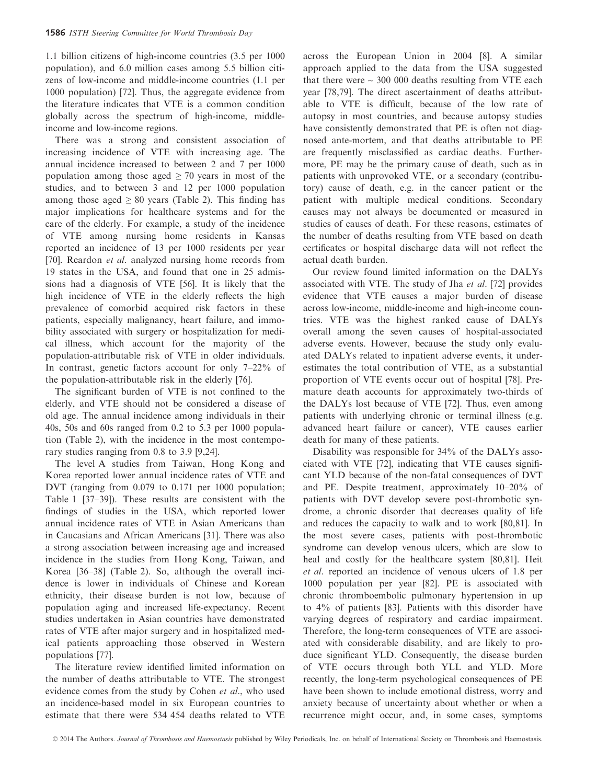1.1 billion citizens of high-income countries (3.5 per 1000 population), and 6.0 million cases among 5.5 billion citizens of low-income and middle-income countries (1.1 per 1000 population) [72]. Thus, the aggregate evidence from the literature indicates that VTE is a common condition globally across the spectrum of high-income, middleincome and low-income regions.

There was a strong and consistent association of increasing incidence of VTE with increasing age. The annual incidence increased to between 2 and 7 per 1000 population among those aged  $\geq$  70 years in most of the studies, and to between 3 and 12 per 1000 population among those aged  $\geq 80$  years (Table 2). This finding has major implications for healthcare systems and for the care of the elderly. For example, a study of the incidence of VTE among nursing home residents in Kansas reported an incidence of 13 per 1000 residents per year [70]. Reardon et al. analyzed nursing home records from 19 states in the USA, and found that one in 25 admissions had a diagnosis of VTE [56]. It is likely that the high incidence of VTE in the elderly reflects the high prevalence of comorbid acquired risk factors in these patients, especially malignancy, heart failure, and immobility associated with surgery or hospitalization for medical illness, which account for the majority of the population-attributable risk of VTE in older individuals. In contrast, genetic factors account for only 7–22% of the population-attributable risk in the elderly [76].

The significant burden of VTE is not confined to the elderly, and VTE should not be considered a disease of old age. The annual incidence among individuals in their 40s, 50s and 60s ranged from 0.2 to 5.3 per 1000 population (Table 2), with the incidence in the most contemporary studies ranging from 0.8 to 3.9 [9,24].

The level A studies from Taiwan, Hong Kong and Korea reported lower annual incidence rates of VTE and DVT (ranging from 0.079 to 0.171 per 1000 population; Table 1 [37–39]). These results are consistent with the findings of studies in the USA, which reported lower annual incidence rates of VTE in Asian Americans than in Caucasians and African Americans [31]. There was also a strong association between increasing age and increased incidence in the studies from Hong Kong, Taiwan, and Korea [36–38] (Table 2). So, although the overall incidence is lower in individuals of Chinese and Korean ethnicity, their disease burden is not low, because of population aging and increased life-expectancy. Recent studies undertaken in Asian countries have demonstrated rates of VTE after major surgery and in hospitalized medical patients approaching those observed in Western populations [77].

The literature review identified limited information on the number of deaths attributable to VTE. The strongest evidence comes from the study by Cohen et al., who used an incidence-based model in six European countries to estimate that there were 534 454 deaths related to VTE across the European Union in 2004 [8]. A similar approach applied to the data from the USA suggested that there were  $\sim$  300 000 deaths resulting from VTE each year [78,79]. The direct ascertainment of deaths attributable to VTE is difficult, because of the low rate of autopsy in most countries, and because autopsy studies have consistently demonstrated that PE is often not diagnosed ante-mortem, and that deaths attributable to PE are frequently misclassified as cardiac deaths. Furthermore, PE may be the primary cause of death, such as in patients with unprovoked VTE, or a secondary (contributory) cause of death, e.g. in the cancer patient or the patient with multiple medical conditions. Secondary causes may not always be documented or measured in studies of causes of death. For these reasons, estimates of the number of deaths resulting from VTE based on death certificates or hospital discharge data will not reflect the actual death burden.

Our review found limited information on the DALYs associated with VTE. The study of Jha et al. [72] provides evidence that VTE causes a major burden of disease across low-income, middle-income and high-income countries. VTE was the highest ranked cause of DALYs overall among the seven causes of hospital-associated adverse events. However, because the study only evaluated DALYs related to inpatient adverse events, it underestimates the total contribution of VTE, as a substantial proportion of VTE events occur out of hospital [78]. Premature death accounts for approximately two-thirds of the DALYs lost because of VTE [72]. Thus, even among patients with underlying chronic or terminal illness (e.g. advanced heart failure or cancer), VTE causes earlier death for many of these patients.

Disability was responsible for 34% of the DALYs associated with VTE [72], indicating that VTE causes significant YLD because of the non-fatal consequences of DVT and PE. Despite treatment, approximately 10–20% of patients with DVT develop severe post-thrombotic syndrome, a chronic disorder that decreases quality of life and reduces the capacity to walk and to work [80,81]. In the most severe cases, patients with post-thrombotic syndrome can develop venous ulcers, which are slow to heal and costly for the healthcare system [80,81]. Heit et al. reported an incidence of venous ulcers of 1.8 per 1000 population per year [82]. PE is associated with chronic thromboembolic pulmonary hypertension in up to 4% of patients [83]. Patients with this disorder have varying degrees of respiratory and cardiac impairment. Therefore, the long-term consequences of VTE are associated with considerable disability, and are likely to produce significant YLD. Consequently, the disease burden of VTE occurs through both YLL and YLD. More recently, the long-term psychological consequences of PE have been shown to include emotional distress, worry and anxiety because of uncertainty about whether or when a recurrence might occur, and, in some cases, symptoms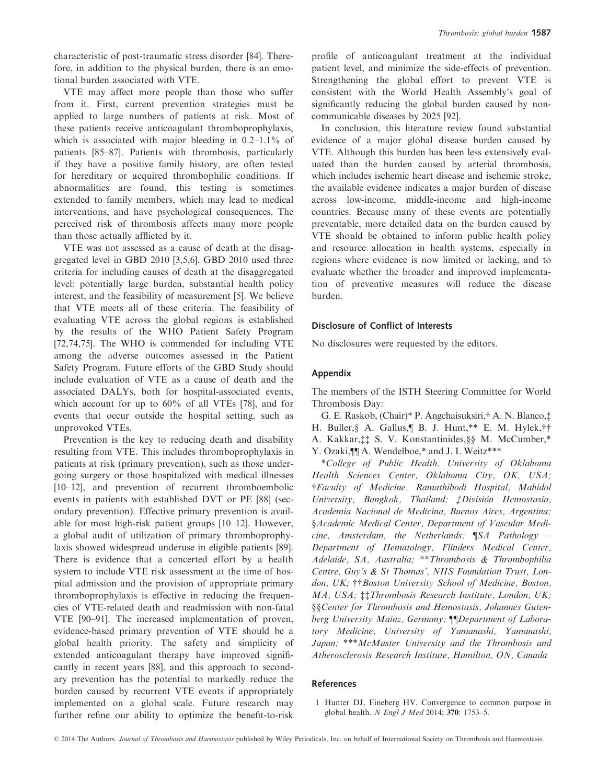characteristic of post-traumatic stress disorder [84]. Therefore, in addition to the physical burden, there is an emotional burden associated with VTE.

VTE may affect more people than those who suffer from it. First, current prevention strategies must be applied to large numbers of patients at risk. Most of these patients receive anticoagulant thromboprophylaxis, which is associated with major bleeding in 0.2–1.1% of patients [85–87]. Patients with thrombosis, particularly if they have a positive family history, are often tested for hereditary or acquired thrombophilic conditions. If abnormalities are found, this testing is sometimes extended to family members, which may lead to medical interventions, and have psychological consequences. The perceived risk of thrombosis affects many more people than those actually afflicted by it.

VTE was not assessed as a cause of death at the disaggregated level in GBD 2010 [3,5,6]. GBD 2010 used three criteria for including causes of death at the disaggregated level: potentially large burden, substantial health policy interest, and the feasibility of measurement [5]. We believe that VTE meets all of these criteria. The feasibility of evaluating VTE across the global regions is established by the results of the WHO Patient Safety Program [72,74,75]. The WHO is commended for including VTE among the adverse outcomes assessed in the Patient Safety Program. Future efforts of the GBD Study should include evaluation of VTE as a cause of death and the associated DALYs, both for hospital-associated events, which account for up to 60% of all VTEs [78], and for events that occur outside the hospital setting, such as unprovoked VTEs.

Prevention is the key to reducing death and disability resulting from VTE. This includes thromboprophylaxis in patients at risk (primary prevention), such as those undergoing surgery or those hospitalized with medical illnesses [10–12], and prevention of recurrent thromboembolic events in patients with established DVT or PE [88] (secondary prevention). Effective primary prevention is available for most high-risk patient groups [10–12]. However, a global audit of utilization of primary thromboprophylaxis showed widespread underuse in eligible patients [89]. There is evidence that a concerted effort by a health system to include VTE risk assessment at the time of hospital admission and the provision of appropriate primary thromboprophylaxis is effective in reducing the frequencies of VTE-related death and readmission with non-fatal VTE [90–91]. The increased implementation of proven, evidence-based primary prevention of VTE should be a global health priority. The safety and simplicity of extended anticoagulant therapy have improved significantly in recent years [88], and this approach to secondary prevention has the potential to markedly reduce the burden caused by recurrent VTE events if appropriately implemented on a global scale. Future research may further refine our ability to optimize the benefit-to-risk

profile of anticoagulant treatment at the individual patient level, and minimize the side-effects of prevention. Strengthening the global effort to prevent VTE is consistent with the World Health Assembly's goal of significantly reducing the global burden caused by noncommunicable diseases by 2025 [92].

In conclusion, this literature review found substantial evidence of a major global disease burden caused by VTE. Although this burden has been less extensively evaluated than the burden caused by arterial thrombosis, which includes ischemic heart disease and ischemic stroke, the available evidence indicates a major burden of disease across low-income, middle-income and high-income countries. Because many of these events are potentially preventable, more detailed data on the burden caused by VTE should be obtained to inform public health policy and resource allocation in health systems, especially in regions where evidence is now limited or lacking, and to evaluate whether the broader and improved implementation of preventive measures will reduce the disease burden.

#### Disclosure of Conflict of Interests

No disclosures were requested by the editors.

#### Appendix

The members of the ISTH Steering Committee for World Thrombosis Day:

G. E. Raskob, (Chair)\* P. Angchaisuksiri,† A. N. Blanco,‡ H. Buller,§ A. Gallus,¶ B. J. Hunt,\*\* E. M. Hylek,†† A. Kakkar,‡‡ S. V. Konstantinides,§§ M. McCumber,\* Y. Ozaki, M A. Wendelboe,\* and J. I. Weitz\*\*\*

\*College of Public Health, University of Oklahoma Health Sciences Center, Oklahoma City, OK, USA; †Faculty of Medicine, Ramathibodi Hospital, Mahidol University, Bangkok, Thailand; *†División Hemostasia*, Academia Nacional de Medicina, Buenos Aires, Argentina; §Academic Medical Center, Department of Vascular Medicine, Amsterdam, the Netherlands;  $\mathbb{S}A$  Pathology – Department of Hematology, Flinders Medical Center, Adelaide, SA, Australia; \*\*Thrombosis & Thrombophilia Centre, Guy's & St Thomas', NHS Foundation Trust, London, UK; ††Boston University School of Medicine, Boston, MA, USA; ‡‡Thrombosis Research Institute, London, UK; §§Center for Thrombosis and Hemostasis, Johannes Gutenberg University Mainz, Germany; *IIDepartment of Labora*tory Medicine, University of Yamanashi, Yamanashi, Japan; \*\*\*McMaster University and the Thrombosis and Atherosclerosis Research Institute, Hamilton, ON, Canada

#### References

1 Hunter DJ, Fineberg HV. Convergence to common purpose in global health. N Engl J Med 2014; 370: 1753–5.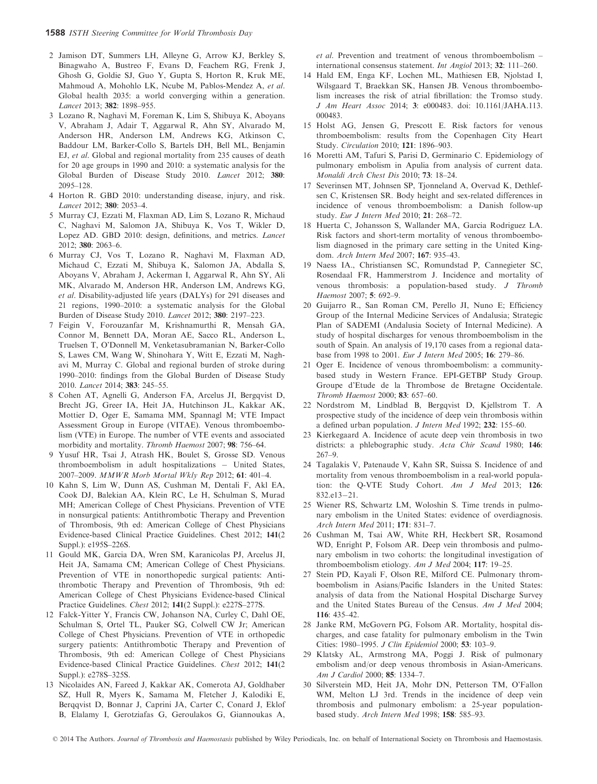- 2 Jamison DT, Summers LH, Alleyne G, Arrow KJ, Berkley S, Binagwaho A, Bustreo F, Evans D, Feachem RG, Frenk J, Ghosh G, Goldie SJ, Guo Y, Gupta S, Horton R, Kruk ME, Mahmoud A, Mohohlo LK, Ncube M, Pablos-Mendez A, et al. Global health 2035: a world converging within a generation. Lancet 2013; 382: 1898–955.
- 3 Lozano R, Naghavi M, Foreman K, Lim S, Shibuya K, Aboyans V, Abraham J, Adair T, Aggarwal R, Ahn SY, Alvarado M, Anderson HR, Anderson LM, Andrews KG, Atkinson C, Baddour LM, Barker-Collo S, Bartels DH, Bell ML, Benjamin EJ, et al. Global and regional mortality from 235 causes of death for 20 age groups in 1990 and 2010: a systematic analysis for the Global Burden of Disease Study 2010. Lancet 2012; 380: 2095–128.
- 4 Horton R. GBD 2010: understanding disease, injury, and risk. Lancet 2012; 380: 2053–4.
- 5 Murray CJ, Ezzati M, Flaxman AD, Lim S, Lozano R, Michaud C, Naghavi M, Salomon JA, Shibuya K, Vos T, Wikler D, Lopez AD. GBD 2010: design, definitions, and metrics. Lancet 2012; 380: 2063–6.
- 6 Murray CJ, Vos T, Lozano R, Naghavi M, Flaxman AD, Michaud C, Ezzati M, Shibuya K, Salomon JA, Abdalla S, Aboyans V, Abraham J, Ackerman I, Aggarwal R, Ahn SY, Ali MK, Alvarado M, Anderson HR, Anderson LM, Andrews KG, et al. Disability-adjusted life years (DALYs) for 291 diseases and 21 regions, 1990–2010: a systematic analysis for the Global Burden of Disease Study 2010. Lancet 2012; 380: 2197–223.
- 7 Feigin V, Forouzanfar M, Krishnamurthi R, Mensah GA, Connor M, Bennett DA, Moran AE, Sacco RL, Anderson L, Truelsen T, O'Donnell M, Venketasubramanian N, Barker-Collo S, Lawes CM, Wang W, Shinohara Y, Witt E, Ezzati M, Naghavi M, Murray C. Global and regional burden of stroke during 1990–2010: findings from the Global Burden of Disease Study 2010. Lancet 2014; 383: 245–55.
- 8 Cohen AT, Agnelli G, Anderson FA, Arcelus JI, Bergqvist D, Brecht JG, Greer IA, Heit JA, Hutchinson JL, Kakkar AK, Mottier D, Oger E, Samama MM, Spannagl M; VTE Impact Assessment Group in Europe (VITAE). Venous thromboembolism (VTE) in Europe. The number of VTE events and associated morbidity and mortality. Thromb Haemost 2007; 98: 756–64.
- 9 Yusuf HR, Tsai J, Atrash HK, Boulet S, Grosse SD. Venous thromboembolism in adult hospitalizations - United States, 2007–2009. MMWR Morb Mortal Wkly Rep 2012; 61: 401–4.
- 10 Kahn S, Lim W, Dunn AS, Cushman M, Dentali F, Akl EA, Cook DJ, Balekian AA, Klein RC, Le H, Schulman S, Murad MH; American College of Chest Physicians. Prevention of VTE in nonsurgical patients: Antithrombotic Therapy and Prevention of Thrombosis, 9th ed: American College of Chest Physicians Evidence-based Clinical Practice Guidelines. Chest 2012; 141(2 Suppl.): e195S–226S.
- 11 Gould MK, Garcia DA, Wren SM, Karanicolas PJ, Arcelus JI, Heit JA, Samama CM; American College of Chest Physicians. Prevention of VTE in nonorthopedic surgical patients: Antithrombotic Therapy and Prevention of Thrombosis, 9th ed: American College of Chest Physicians Evidence-based Clinical Practice Guidelines. Chest 2012; 141(2 Suppl.): e227S–277S.
- 12 Falck-Yitter Y, Francis CW, Johanson NA, Curley C, Dahl OE, Schulman S, Ortel TL, Pauker SG, Colwell CW Jr; American College of Chest Physicians. Prevention of VTE in orthopedic surgery patients: Antithrombotic Therapy and Prevention of Thrombosis, 9th ed: American College of Chest Physicians Evidence-based Clinical Practice Guidelines. Chest 2012; 141(2 Suppl.): e278S–325S.
- 13 Nicolaides AN, Fareed J, Kakkar AK, Comerota AJ, Goldhaber SZ, Hull R, Myers K, Samama M, Fletcher J, Kalodiki E, Berqqvist D, Bonnar J, Caprini JA, Carter C, Conard J, Eklof B, Elalamy I, Gerotziafas G, Geroulakos G, Giannoukas A,

et al. Prevention and treatment of venous thromboembolism – international consensus statement. Int Angiol 2013; 32: 111–260.

- 14 Hald EM, Enga KF, Lochen ML, Mathiesen EB, Njolstad I, Wilsgaard T, Braekkan SK, Hansen JB. Venous thromboembolism increases the risk of atrial fibrillation: the Tromso study. J Am Heart Assoc 2014; 3: e000483. doi: 10.1161/JAHA.113. 000483.
- 15 Holst AG, Jensen G, Prescott E. Risk factors for venous thromboembolism: results from the Copenhagen City Heart Study. Circulation 2010; 121: 1896–903.
- 16 Moretti AM, Tafuri S, Parisi D, Germinario C. Epidemiology of pulmonary embolism in Apulia from analysis of current data. Monaldi Arch Chest Dis 2010; 73: 18–24.
- 17 Severinsen MT, Johnsen SP, Tjonneland A, Overvad K, Dethlefsen C, Kristensen SR. Body height and sex-related differences in incidence of venous thromboembolism: a Danish follow-up study. Eur J Intern Med 2010; 21: 268–72.
- 18 Huerta C, Johansson S, Wallander MA, Garcia Rodriguez LA. Risk factors and short-term mortality of venous thromboembolism diagnosed in the primary care setting in the United Kingdom. Arch Intern Med 2007; 167: 935–43.
- 19 Naess IA., Christiansen SC, Romundstad P, Cannegieter SC, Rosendaal FR, Hammerstrom J. Incidence and mortality of venous thrombosis: a population-based study. J Thromb Haemost 2007; 5: 692–9.
- 20 Guijarro R., San Roman CM, Perello JI, Nuno E; Efficiency Group of the Internal Medicine Services of Andalusia; Strategic Plan of SADEMI (Andalusia Society of Internal Medicine). A study of hospital discharges for venous thromboembolism in the south of Spain. An analysis of 19,170 cases from a regional database from 1998 to 2001. Eur J Intern Med 2005; 16: 279–86.
- 21 Oger E. Incidence of venous thromboembolism: a communitybased study in Western France. EPI-GETBP Study Group. Groupe d'Etude de la Thrombose de Bretagne Occidentale. Thromb Haemost 2000; 83: 657–60.
- 22 Nordstrom M, Lindblad B, Bergqvist D, Kjellstrom T. A prospective study of the incidence of deep vein thrombosis within a defined urban population. J Intern Med 1992; 232: 155–60.
- 23 Kierkegaard A. Incidence of acute deep vein thrombosis in two districts: a phlebographic study. Acta Chir Scand 1980; 146: 267–9.
- 24 Tagalakis V, Patenaude V, Kahn SR, Suissa S. Incidence of and mortality from venous thromboembolism in a real-world population: the Q-VTE Study Cohort. Am J Med 2013; 126:  $832. e13 - 21.$
- 25 Wiener RS, Schwartz LM, Woloshin S. Time trends in pulmonary embolism in the United States: evidence of overdiagnosis. Arch Intern Med 2011; 171: 831–7.
- 26 Cushman M, Tsai AW, White RH, Heckbert SR, Rosamond WD, Enright P, Folsom AR. Deep vein thrombosis and pulmonary embolism in two cohorts: the longitudinal investigation of thromboembolism etiology. Am J Med 2004; 117: 19–25.
- 27 Stein PD, Kayali F, Olson RE, Milford CE. Pulmonary thromboembolism in Asians/Pacific Islanders in the United States: analysis of data from the National Hospital Discharge Survey and the United States Bureau of the Census. Am J Med 2004; 116: 435–42.
- 28 Janke RM, McGovern PG, Folsom AR. Mortality, hospital discharges, and case fatality for pulmonary embolism in the Twin Cities: 1980–1995. J Clin Epidemiol 2000; 53: 103–9.
- 29 Klatsky AL, Armstrong MA, Poggi J. Risk of pulmonary embolism and/or deep venous thrombosis in Asian-Americans. Am J Cardiol 2000; 85: 1334–7.
- 30 Silverstein MD, Heit JA, Mohr DN, Petterson TM, O'Fallon WM, Melton LJ 3rd. Trends in the incidence of deep vein thrombosis and pulmonary embolism: a 25-year populationbased study. Arch Intern Med 1998; 158: 585–93.

© 2014 The Authors. Journal of Thrombosis and Haemostasis published by Wiley Periodicals, Inc. on behalf of International Society on Thrombosis and Haemostasis.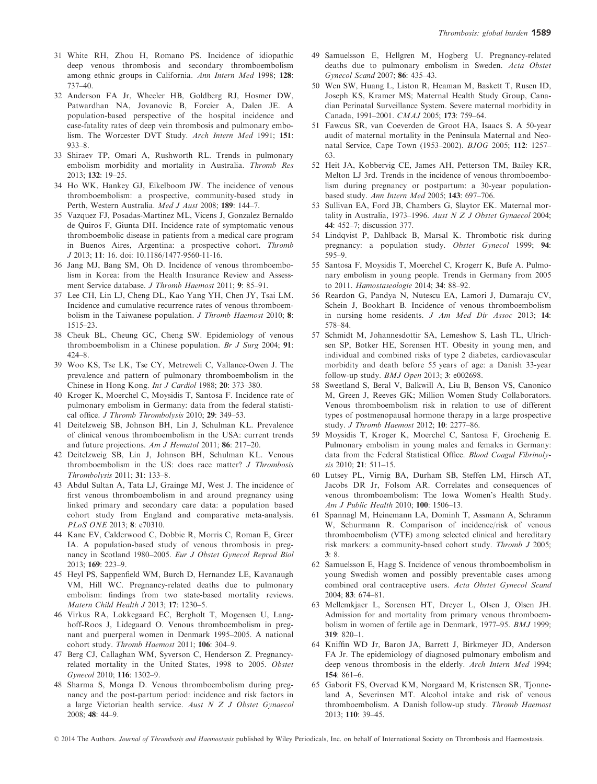- 31 White RH, Zhou H, Romano PS. Incidence of idiopathic deep venous thrombosis and secondary thromboembolism among ethnic groups in California. Ann Intern Med 1998; 128: 737–40.
- 32 Anderson FA Jr, Wheeler HB, Goldberg RJ, Hosmer DW, Patwardhan NA, Jovanovic B, Forcier A, Dalen JE. A population-based perspective of the hospital incidence and case-fatality rates of deep vein thrombosis and pulmonary embolism. The Worcester DVT Study. Arch Intern Med 1991; 151: 933–8.
- 33 Shiraev TP, Omari A, Rushworth RL. Trends in pulmonary embolism morbidity and mortality in Australia. Thromb Res 2013; 132: 19–25.
- 34 Ho WK, Hankey GJ, Eikelboom JW. The incidence of venous thromboembolism: a prospective, community-based study in Perth, Western Australia. Med J Aust 2008; 189: 144–7.
- 35 Vazquez FJ, Posadas-Martinez ML, Vicens J, Gonzalez Bernaldo de Quiros F, Giunta DH. Incidence rate of symptomatic venous thromboembolic disease in patients from a medical care program in Buenos Aires, Argentina: a prospective cohort. Thromb J 2013; 11: 16. doi: 10.1186/1477-9560-11-16.
- 36 Jang MJ, Bang SM, Oh D. Incidence of venous thromboembolism in Korea: from the Health Insurance Review and Assessment Service database. J Thromb Haemost 2011; 9: 85–91.
- 37 Lee CH, Lin LJ, Cheng DL, Kao Yang YH, Chen JY, Tsai LM. Incidence and cumulative recurrence rates of venous thromboembolism in the Taiwanese population. J Thromb Haemost 2010; 8: 1515–23.
- 38 Cheuk BL, Cheung GC, Cheng SW. Epidemiology of venous thromboembolism in a Chinese population. Br J Surg 2004; 91: 424–8.
- 39 Woo KS, Tse LK, Tse CY, Metreweli C, Vallance-Owen J. The prevalence and pattern of pulmonary thromboembolism in the Chinese in Hong Kong. Int J Cardiol 1988; 20: 373–380.
- 40 Kroger K, Moerchel C, Moysidis T, Santosa F. Incidence rate of pulmonary embolism in Germany: data from the federal statistical office. J Thromb Thrombolysis 2010; 29: 349-53.
- 41 Deitelzweig SB, Johnson BH, Lin J, Schulman KL. Prevalence of clinical venous thromboembolism in the USA: current trends and future projections. Am J Hematol 2011; 86: 217–20.
- 42 Deitelzweig SB, Lin J, Johnson BH, Schulman KL. Venous thromboembolism in the US: does race matter? J Thrombosis Thrombolysis 2011; 31: 133–8.
- 43 Abdul Sultan A, Tata LJ, Grainge MJ, West J. The incidence of first venous thromboembolism in and around pregnancy using linked primary and secondary care data: a population based cohort study from England and comparative meta-analysis. PLoS ONE 2013; 8: e70310.
- 44 Kane EV, Calderwood C, Dobbie R, Morris C, Roman E, Greer IA. A population-based study of venous thrombosis in pregnancy in Scotland 1980–2005. Eur J Obstet Gynecol Reprod Biol 2013; 169: 223–9.
- 45 Heyl PS, Sappenfield WM, Burch D, Hernandez LE, Kavanaugh VM, Hill WC. Pregnancy-related deaths due to pulmonary embolism: findings from two state-based mortality reviews. Matern Child Health J 2013; 17: 1230–5.
- 46 Virkus RA, Lokkegaard EC, Bergholt T, Mogensen U, Langhoff-Roos J, Lidegaard O. Venous thromboembolism in pregnant and puerperal women in Denmark 1995–2005. A national cohort study. Thromb Haemost 2011; 106: 304–9.
- 47 Berg CJ, Callaghan WM, Syverson C, Henderson Z. Pregnancyrelated mortality in the United States, 1998 to 2005. Obstet Gynecol 2010; 116: 1302–9.
- 48 Sharma S, Monga D. Venous thromboembolism during pregnancy and the post-partum period: incidence and risk factors in a large Victorian health service. Aust N Z J Obstet Gynaecol 2008; 48: 44–9.
- 49 Samuelsson E, Hellgren M, Hogberg U. Pregnancy-related deaths due to pulmonary embolism in Sweden. Acta Obstet Gynecol Scand 2007; 86: 435–43.
- 50 Wen SW, Huang L, Liston R, Heaman M, Baskett T, Rusen ID, Joseph KS, Kramer MS; Maternal Health Study Group, Canadian Perinatal Surveillance System. Severe maternal morbidity in Canada, 1991–2001. CMAJ 2005; 173: 759–64.
- 51 Fawcus SR, van Coeverden de Groot HA, Isaacs S. A 50-year audit of maternal mortality in the Peninsula Maternal and Neonatal Service, Cape Town (1953–2002). BJOG 2005; 112: 1257– 63.
- 52 Heit JA, Kobbervig CE, James AH, Petterson TM, Bailey KR, Melton LJ 3rd. Trends in the incidence of venous thromboembolism during pregnancy or postpartum: a 30-year populationbased study. Ann Intern Med 2005; 143: 697–706.
- 53 Sullivan EA, Ford JB, Chambers G, Slaytor EK. Maternal mortality in Australia, 1973–1996. Aust N Z J Obstet Gynaecol 2004; 44: 452–7; discussion 377.
- 54 Lindqvist P, Dahlback B, Marsal K. Thrombotic risk during pregnancy: a population study. Obstet Gynecol 1999; 94: 595–9.
- 55 Santosa F, Moysidis T, Moerchel C, Krogerr K, Bufe A. Pulmonary embolism in young people. Trends in Germany from 2005 to 2011. Hamostaseologie 2014; 34: 88–92.
- 56 Reardon G, Pandya N, Nutescu EA, Lamori J, Damaraju CV, Schein J, Bookhart B. Incidence of venous thromboembolism in nursing home residents. J Am Med Dir Assoc 2013; 14: 578–84.
- 57 Schmidt M, Johannesdottir SA, Lemeshow S, Lash TL, Ulrichsen SP, Botker HE, Sorensen HT. Obesity in young men, and individual and combined risks of type 2 diabetes, cardiovascular morbidity and death before 55 years of age: a Danish 33-year follow-up study. BMJ Open 2013; 3: e002698.
- 58 Sweetland S, Beral V, Balkwill A, Liu B, Benson VS, Canonico M, Green J, Reeves GK; Million Women Study Collaborators. Venous thromboembolism risk in relation to use of different types of postmenopausal hormone therapy in a large prospective study. J Thromb Haemost 2012; 10: 2277–86.
- 59 Moysidis T, Kroger K, Moerchel C, Santosa F, Grochenig E. Pulmonary embolism in young males and females in Germany: data from the Federal Statistical Office. Blood Coagul Fibrinolysis 2010; 21: 511-15.
- Lutsey PL, Virnig BA, Durham SB, Steffen LM, Hirsch AT, Jacobs DR Jr, Folsom AR. Correlates and consequences of venous thromboembolism: The Iowa Women's Health Study. Am J Public Health 2010; 100: 1506–13.
- 61 Spannagl M, Heinemann LA, Dominh T, Assmann A, Schramm W, Schurmann R. Comparison of incidence/risk of venous thromboembolism (VTE) among selected clinical and hereditary risk markers: a community-based cohort study. Thromb J 2005; 3: 8.
- 62 Samuelsson E, Hagg S. Incidence of venous thromboembolism in young Swedish women and possibly preventable cases among combined oral contraceptive users. Acta Obstet Gynecol Scand 2004; 83: 674–81.
- 63 Mellemkjaer L, Sorensen HT, Dreyer L, Olsen J, Olsen JH. Admission for and mortality from primary venous thromboembolism in women of fertile age in Denmark, 1977–95. BMJ 1999; 319: 820–1.
- 64 Kniffin WD Jr, Baron JA, Barrett J, Birkmeyer JD, Anderson FA Jr. The epidemiology of diagnosed pulmonary embolism and deep venous thrombosis in the elderly. Arch Intern Med 1994; 154: 861–6.
- 65 Gaborit FS, Overvad KM, Norgaard M, Kristensen SR, Tjonneland A, Severinsen MT. Alcohol intake and risk of venous thromboembolism. A Danish follow-up study. Thromb Haemost 2013; 110: 39–45.

© 2014 The Authors. Journal of Thrombosis and Haemostasis published by Wiley Periodicals, Inc. on behalf of International Society on Thrombosis and Haemostasis.